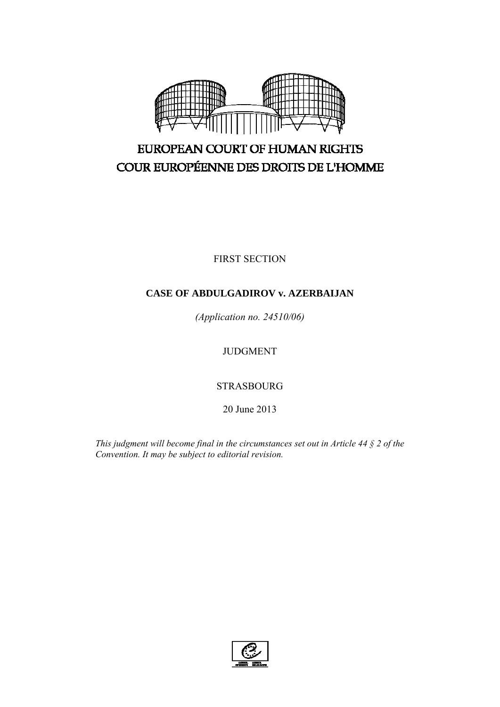

# EUROPEAN COURT OF HUMAN RIGHTS COUR EUROPÉENNE DES DROITS DE L'HOMME

FIRST SECTION

# **CASE OF ABDULGADIROV v. AZERBAIJAN**

*(Application no. 24510/06)* 

JUDGMENT

STRASBOURG

20 June 2013

*This judgment will become final in the circumstances set out in Article 44 § 2 of the Convention. It may be subject to editorial revision.* 

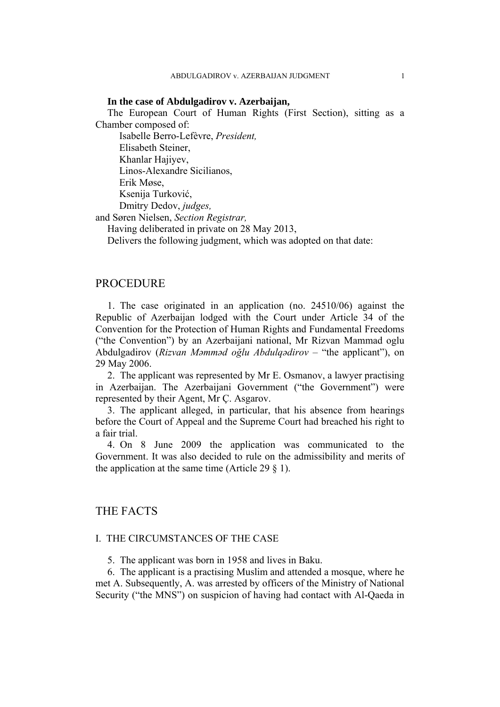#### **In the case of Abdulgadirov v. Azerbaijan,**

The European Court of Human Rights (First Section), sitting as a Chamber composed of:

 Isabelle Berro-Lefèvre, *President,*  Elisabeth Steiner, Khanlar Hajiyev, Linos-Alexandre Sicilianos, Erik Møse, Ksenija Turković,

 Dmitry Dedov, *judges,* and Søren Nielsen, *Section Registrar,*

Having deliberated in private on 28 May 2013,

Delivers the following judgment, which was adopted on that date:

# PROCEDURE

1. The case originated in an application (no. 24510/06) against the Republic of Azerbaijan lodged with the Court under Article 34 of the Convention for the Protection of Human Rights and Fundamental Freedoms ("the Convention") by an Azerbaijani national, Mr Rizvan Mammad oglu Abdulgadirov (*Rizvan Məmməd oğlu Abdulqədirov –* "the applicant"), on 29 May 2006.

2. The applicant was represented by Mr E. Osmanov, a lawyer practising in Azerbaijan. The Azerbaijani Government ("the Government") were represented by their Agent, Mr Ç. Asgarov.

3. The applicant alleged, in particular, that his absence from hearings before the Court of Appeal and the Supreme Court had breached his right to a fair trial.

4. On 8 June 2009 the application was communicated to the Government. It was also decided to rule on the admissibility and merits of the application at the same time (Article 29  $\S$  1).

# THE FACTS

# I. THE CIRCUMSTANCES OF THE CASE

5. The applicant was born in 1958 and lives in Baku.

6. The applicant is a practising Muslim and attended a mosque, where he met A. Subsequently, A. was arrested by officers of the Ministry of National Security ("the MNS") on suspicion of having had contact with Al-Qaeda in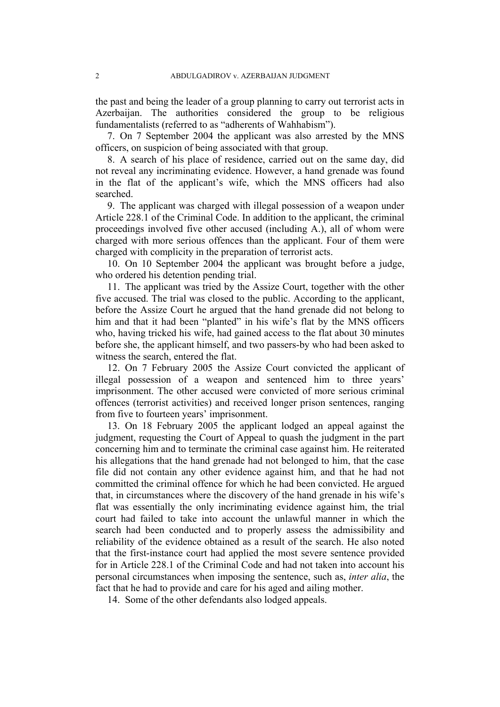the past and being the leader of a group planning to carry out terrorist acts in Azerbaijan. The authorities considered the group to be religious fundamentalists (referred to as "adherents of Wahhabism").

7. On 7 September 2004 the applicant was also arrested by the MNS officers, on suspicion of being associated with that group.

8. A search of his place of residence, carried out on the same day, did not reveal any incriminating evidence. However, a hand grenade was found in the flat of the applicant's wife, which the MNS officers had also searched.

9. The applicant was charged with illegal possession of a weapon under Article 228.1 of the Criminal Code. In addition to the applicant, the criminal proceedings involved five other accused (including A.), all of whom were charged with more serious offences than the applicant. Four of them were charged with complicity in the preparation of terrorist acts.

10. On 10 September 2004 the applicant was brought before a judge, who ordered his detention pending trial.

11. The applicant was tried by the Assize Court, together with the other five accused. The trial was closed to the public. According to the applicant, before the Assize Court he argued that the hand grenade did not belong to him and that it had been "planted" in his wife's flat by the MNS officers who, having tricked his wife, had gained access to the flat about 30 minutes before she, the applicant himself, and two passers-by who had been asked to witness the search, entered the flat.

12. On 7 February 2005 the Assize Court convicted the applicant of illegal possession of a weapon and sentenced him to three years' imprisonment. The other accused were convicted of more serious criminal offences (terrorist activities) and received longer prison sentences, ranging from five to fourteen years' imprisonment.

13. On 18 February 2005 the applicant lodged an appeal against the judgment, requesting the Court of Appeal to quash the judgment in the part concerning him and to terminate the criminal case against him. He reiterated his allegations that the hand grenade had not belonged to him, that the case file did not contain any other evidence against him, and that he had not committed the criminal offence for which he had been convicted. He argued that, in circumstances where the discovery of the hand grenade in his wife's flat was essentially the only incriminating evidence against him, the trial court had failed to take into account the unlawful manner in which the search had been conducted and to properly assess the admissibility and reliability of the evidence obtained as a result of the search. He also noted that the first-instance court had applied the most severe sentence provided for in Article 228.1 of the Criminal Code and had not taken into account his personal circumstances when imposing the sentence, such as, *inter alia*, the fact that he had to provide and care for his aged and ailing mother.

14. Some of the other defendants also lodged appeals.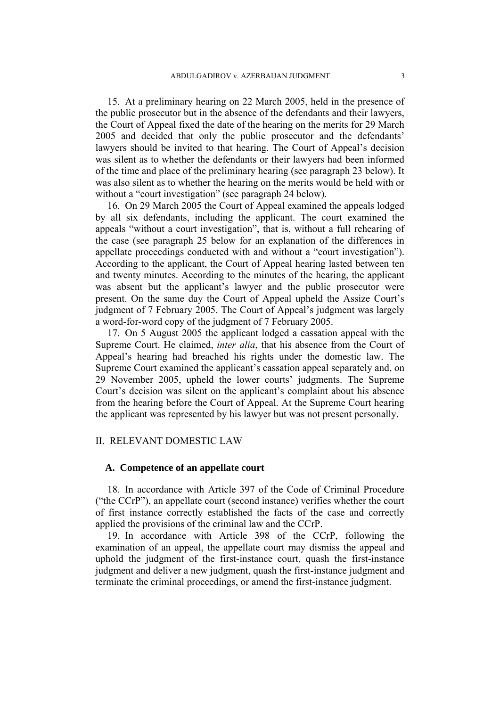15. At a preliminary hearing on 22 March 2005, held in the presence of the public prosecutor but in the absence of the defendants and their lawyers, the Court of Appeal fixed the date of the hearing on the merits for 29 March 2005 and decided that only the public prosecutor and the defendants' lawyers should be invited to that hearing. The Court of Appeal's decision was silent as to whether the defendants or their lawyers had been informed of the time and place of the preliminary hearing (see paragraph 23 below). It was also silent as to whether the hearing on the merits would be held with or without a "court investigation" (see paragraph 24 below).

16. On 29 March 2005 the Court of Appeal examined the appeals lodged by all six defendants, including the applicant. The court examined the appeals "without a court investigation", that is, without a full rehearing of the case (see paragraph 25 below for an explanation of the differences in appellate proceedings conducted with and without a "court investigation"). According to the applicant, the Court of Appeal hearing lasted between ten and twenty minutes. According to the minutes of the hearing, the applicant was absent but the applicant's lawyer and the public prosecutor were present. On the same day the Court of Appeal upheld the Assize Court's judgment of 7 February 2005. The Court of Appeal's judgment was largely a word-for-word copy of the judgment of 7 February 2005.

17. On 5 August 2005 the applicant lodged a cassation appeal with the Supreme Court. He claimed, *inter alia*, that his absence from the Court of Appeal's hearing had breached his rights under the domestic law. The Supreme Court examined the applicant's cassation appeal separately and, on 29 November 2005, upheld the lower courts' judgments. The Supreme Court's decision was silent on the applicant's complaint about his absence from the hearing before the Court of Appeal. At the Supreme Court hearing the applicant was represented by his lawyer but was not present personally.

# II. RELEVANT DOMESTIC LAW

#### **A. Competence of an appellate court**

18. In accordance with Article 397 of the Code of Criminal Procedure ("the CCrP"), an appellate court (second instance) verifies whether the court of first instance correctly established the facts of the case and correctly applied the provisions of the criminal law and the CCrP.

19. In accordance with Article 398 of the CCrP, following the examination of an appeal, the appellate court may dismiss the appeal and uphold the judgment of the first-instance court, quash the first-instance judgment and deliver a new judgment, quash the first-instance judgment and terminate the criminal proceedings, or amend the first-instance judgment.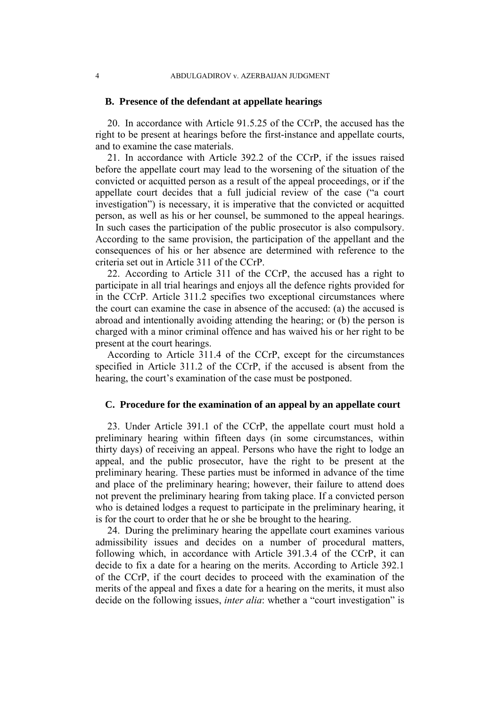#### **B. Presence of the defendant at appellate hearings**

20. In accordance with Article 91.5.25 of the CCrP, the accused has the right to be present at hearings before the first-instance and appellate courts, and to examine the case materials.

21. In accordance with Article 392.2 of the CCrP, if the issues raised before the appellate court may lead to the worsening of the situation of the convicted or acquitted person as a result of the appeal proceedings, or if the appellate court decides that a full judicial review of the case ("a court investigation") is necessary, it is imperative that the convicted or acquitted person, as well as his or her counsel, be summoned to the appeal hearings. In such cases the participation of the public prosecutor is also compulsory. According to the same provision, the participation of the appellant and the consequences of his or her absence are determined with reference to the criteria set out in Article 311 of the CCrP.

22. According to Article 311 of the CCrP, the accused has a right to participate in all trial hearings and enjoys all the defence rights provided for in the CCrP. Article 311.2 specifies two exceptional circumstances where the court can examine the case in absence of the accused: (a) the accused is abroad and intentionally avoiding attending the hearing; or (b) the person is charged with a minor criminal offence and has waived his or her right to be present at the court hearings.

According to Article 311.4 of the CCrP, except for the circumstances specified in Article 311.2 of the CCrP, if the accused is absent from the hearing, the court's examination of the case must be postponed.

#### **C. Procedure for the examination of an appeal by an appellate court**

23. Under Article 391.1 of the CCrP, the appellate court must hold a preliminary hearing within fifteen days (in some circumstances, within thirty days) of receiving an appeal. Persons who have the right to lodge an appeal, and the public prosecutor, have the right to be present at the preliminary hearing. These parties must be informed in advance of the time and place of the preliminary hearing; however, their failure to attend does not prevent the preliminary hearing from taking place. If a convicted person who is detained lodges a request to participate in the preliminary hearing, it is for the court to order that he or she be brought to the hearing.

24. During the preliminary hearing the appellate court examines various admissibility issues and decides on a number of procedural matters, following which, in accordance with Article 391.3.4 of the CCrP, it can decide to fix a date for a hearing on the merits. According to Article 392.1 of the CCrP, if the court decides to proceed with the examination of the merits of the appeal and fixes a date for a hearing on the merits, it must also decide on the following issues, *inter alia*: whether a "court investigation" is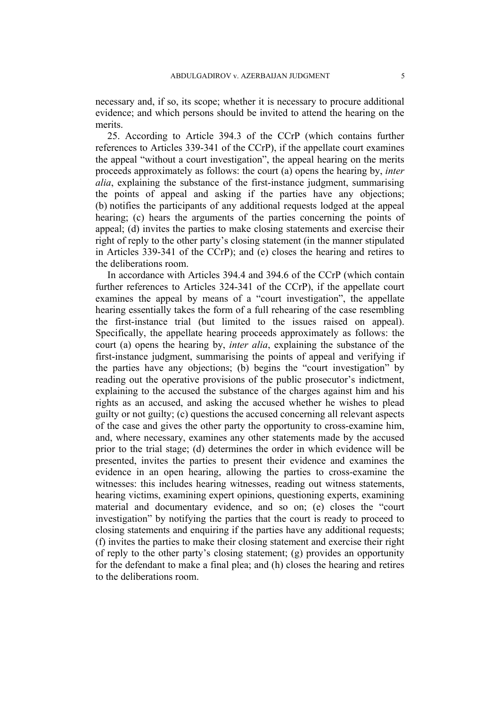necessary and, if so, its scope; whether it is necessary to procure additional evidence; and which persons should be invited to attend the hearing on the merits.

25. According to Article 394.3 of the CCrP (which contains further references to Articles 339-341 of the CCrP), if the appellate court examines the appeal "without a court investigation", the appeal hearing on the merits proceeds approximately as follows: the court (a) opens the hearing by, *inter alia*, explaining the substance of the first-instance judgment, summarising the points of appeal and asking if the parties have any objections; (b) notifies the participants of any additional requests lodged at the appeal hearing; (c) hears the arguments of the parties concerning the points of appeal; (d) invites the parties to make closing statements and exercise their right of reply to the other party's closing statement (in the manner stipulated in Articles 339-341 of the CCrP); and (e) closes the hearing and retires to the deliberations room.

In accordance with Articles 394.4 and 394.6 of the CCrP (which contain further references to Articles 324-341 of the CCrP), if the appellate court examines the appeal by means of a "court investigation", the appellate hearing essentially takes the form of a full rehearing of the case resembling the first-instance trial (but limited to the issues raised on appeal). Specifically, the appellate hearing proceeds approximately as follows: the court (a) opens the hearing by, *inter alia*, explaining the substance of the first-instance judgment, summarising the points of appeal and verifying if the parties have any objections; (b) begins the "court investigation" by reading out the operative provisions of the public prosecutor's indictment, explaining to the accused the substance of the charges against him and his rights as an accused, and asking the accused whether he wishes to plead guilty or not guilty; (c) questions the accused concerning all relevant aspects of the case and gives the other party the opportunity to cross-examine him, and, where necessary, examines any other statements made by the accused prior to the trial stage; (d) determines the order in which evidence will be presented, invites the parties to present their evidence and examines the evidence in an open hearing, allowing the parties to cross-examine the witnesses: this includes hearing witnesses, reading out witness statements, hearing victims, examining expert opinions, questioning experts, examining material and documentary evidence, and so on; (e) closes the "court investigation" by notifying the parties that the court is ready to proceed to closing statements and enquiring if the parties have any additional requests; (f) invites the parties to make their closing statement and exercise their right of reply to the other party's closing statement; (g) provides an opportunity for the defendant to make a final plea; and (h) closes the hearing and retires to the deliberations room.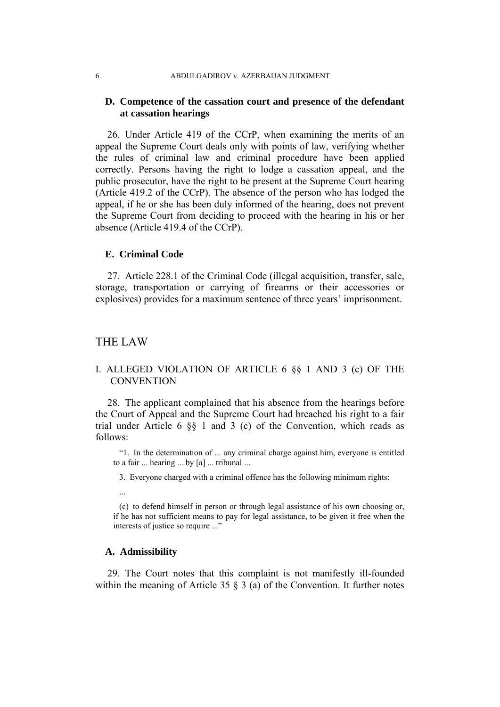# **D. Competence of the cassation court and presence of the defendant at cassation hearings**

26. Under Article 419 of the CCrP, when examining the merits of an appeal the Supreme Court deals only with points of law, verifying whether the rules of criminal law and criminal procedure have been applied correctly. Persons having the right to lodge a cassation appeal, and the public prosecutor, have the right to be present at the Supreme Court hearing (Article 419.2 of the CCrP). The absence of the person who has lodged the appeal, if he or she has been duly informed of the hearing, does not prevent the Supreme Court from deciding to proceed with the hearing in his or her absence (Article 419.4 of the CCrP).

#### **E. Criminal Code**

27. Article 228.1 of the Criminal Code (illegal acquisition, transfer, sale, storage, transportation or carrying of firearms or their accessories or explosives) provides for a maximum sentence of three years' imprisonment.

# THE LAW

# I. ALLEGED VIOLATION OF ARTICLE 6 §§ 1 AND 3 (c) OF THE **CONVENTION**

28. The applicant complained that his absence from the hearings before the Court of Appeal and the Supreme Court had breached his right to a fair trial under Article 6 §§ 1 and 3 (c) of the Convention, which reads as follows:

"1. In the determination of ... any criminal charge against him, everyone is entitled to a fair ... hearing ... by [a] ... tribunal ...

3. Everyone charged with a criminal offence has the following minimum rights:

...

(c) to defend himself in person or through legal assistance of his own choosing or, if he has not sufficient means to pay for legal assistance, to be given it free when the interests of justice so require ..."

#### **A. Admissibility**

29. The Court notes that this complaint is not manifestly ill-founded within the meaning of Article 35 § 3 (a) of the Convention. It further notes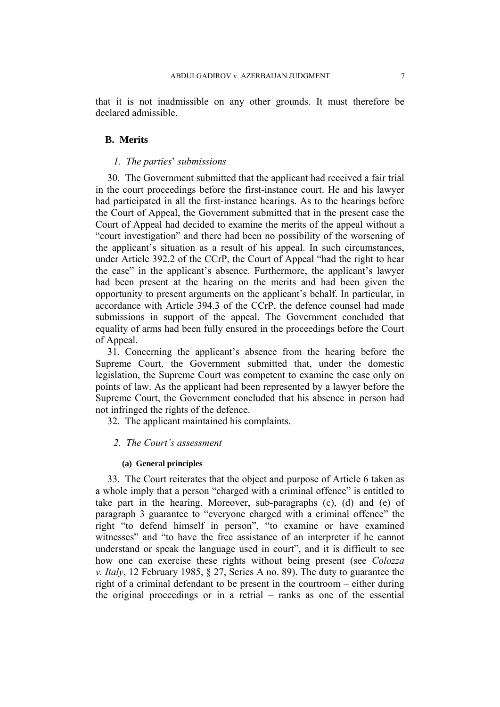that it is not inadmissible on any other grounds. It must therefore be declared admissible.

#### **B. Merits**

#### *1. The parties*' *submissions*

30. The Government submitted that the applicant had received a fair trial in the court proceedings before the first-instance court. He and his lawyer had participated in all the first-instance hearings. As to the hearings before the Court of Appeal, the Government submitted that in the present case the Court of Appeal had decided to examine the merits of the appeal without a "court investigation" and there had been no possibility of the worsening of the applicant's situation as a result of his appeal. In such circumstances, under Article 392.2 of the CCrP, the Court of Appeal "had the right to hear the case" in the applicant's absence. Furthermore, the applicant's lawyer had been present at the hearing on the merits and had been given the opportunity to present arguments on the applicant's behalf. In particular, in accordance with Article 394.3 of the CCrP, the defence counsel had made submissions in support of the appeal. The Government concluded that equality of arms had been fully ensured in the proceedings before the Court of Appeal.

31. Concerning the applicant's absence from the hearing before the Supreme Court, the Government submitted that, under the domestic legislation, the Supreme Court was competent to examine the case only on points of law. As the applicant had been represented by a lawyer before the Supreme Court, the Government concluded that his absence in person had not infringed the rights of the defence.

32. The applicant maintained his complaints.

#### *2. The Court's assessment*

#### **(a) General principles**

33. The Court reiterates that the object and purpose of Article 6 taken as a whole imply that a person "charged with a criminal offence" is entitled to take part in the hearing. Moreover, sub-paragraphs (c), (d) and (e) of paragraph 3 guarantee to "everyone charged with a criminal offence" the right "to defend himself in person", "to examine or have examined witnesses" and "to have the free assistance of an interpreter if he cannot understand or speak the language used in court", and it is difficult to see how one can exercise these rights without being present (see *Colozza v. Italy*, 12 February 1985, § 27, Series A no. 89). The duty to guarantee the right of a criminal defendant to be present in the courtroom – either during the original proceedings or in a retrial – ranks as one of the essential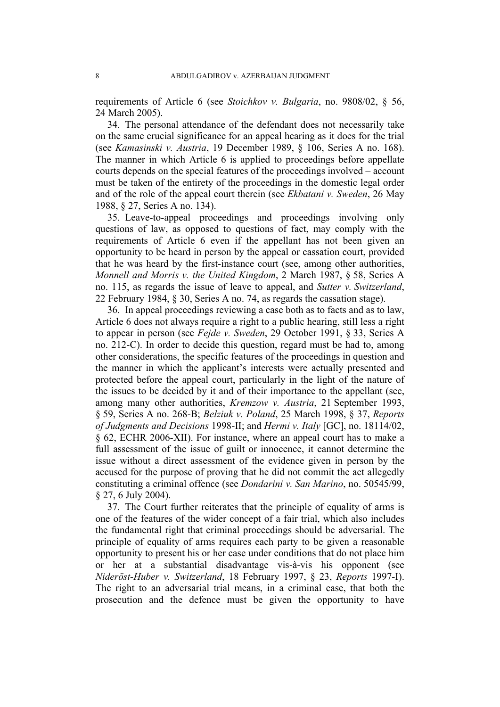requirements of Article 6 (see *Stoichkov v. Bulgaria*, no. 9808/02, § 56, 24 March 2005).

34. The personal attendance of the defendant does not necessarily take on the same crucial significance for an appeal hearing as it does for the trial (see *Kamasinski v. Austria*, 19 December 1989, § 106, Series A no. 168). The manner in which Article 6 is applied to proceedings before appellate courts depends on the special features of the proceedings involved – account must be taken of the entirety of the proceedings in the domestic legal order and of the role of the appeal court therein (see *Ekbatani v. Sweden*, 26 May 1988, § 27, Series A no. 134).

35. Leave-to-appeal proceedings and proceedings involving only questions of law, as opposed to questions of fact, may comply with the requirements of Article 6 even if the appellant has not been given an opportunity to be heard in person by the appeal or cassation court, provided that he was heard by the first-instance court (see, among other authorities, *Monnell and Morris v. the United Kingdom*, 2 March 1987, § 58, Series A no. 115, as regards the issue of leave to appeal, and *Sutter v. Switzerland*, 22 February 1984, § 30, Series A no. 74, as regards the cassation stage).

36. In appeal proceedings reviewing a case both as to facts and as to law, Article 6 does not always require a right to a public hearing, still less a right to appear in person (see *Fejde v. Sweden*, 29 October 1991, § 33, Series A no. 212-C). In order to decide this question, regard must be had to, among other considerations, the specific features of the proceedings in question and the manner in which the applicant's interests were actually presented and protected before the appeal court, particularly in the light of the nature of the issues to be decided by it and of their importance to the appellant (see, among many other authorities, *Kremzow v. Austria*, 21 September 1993, § 59, Series A no. 268-B; *Belziuk v. Poland*, 25 March 1998, § 37, *Reports of Judgments and Decisions* 1998-II; and *Hermi v. Italy* [GC], no. 18114/02, § 62, ECHR 2006-XII). For instance, where an appeal court has to make a full assessment of the issue of guilt or innocence, it cannot determine the issue without a direct assessment of the evidence given in person by the accused for the purpose of proving that he did not commit the act allegedly constituting a criminal offence (see *Dondarini v. San Marino*, no. 50545/99, § 27, 6 July 2004).

37. The Court further reiterates that the principle of equality of arms is one of the features of the wider concept of a fair trial, which also includes the fundamental right that criminal proceedings should be adversarial. The principle of equality of arms requires each party to be given a reasonable opportunity to present his or her case under conditions that do not place him or her at a substantial disadvantage vis-à-vis his opponent (see *Nideröst-Huber v. Switzerland*, 18 February 1997, § 23, *Reports* 1997-I). The right to an adversarial trial means, in a criminal case, that both the prosecution and the defence must be given the opportunity to have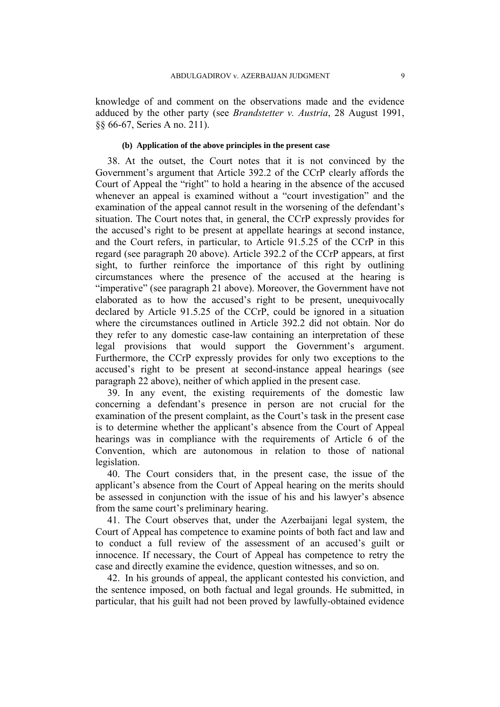knowledge of and comment on the observations made and the evidence adduced by the other party (see *Brandstetter v. Austria*, 28 August 1991, §§ 66-67, Series A no. 211).

# **(b) Application of the above principles in the present case**

38. At the outset, the Court notes that it is not convinced by the Government's argument that Article 392.2 of the CCrP clearly affords the Court of Appeal the "right" to hold a hearing in the absence of the accused whenever an appeal is examined without a "court investigation" and the examination of the appeal cannot result in the worsening of the defendant's situation. The Court notes that, in general, the CCrP expressly provides for the accused's right to be present at appellate hearings at second instance, and the Court refers, in particular, to Article 91.5.25 of the CCrP in this regard (see paragraph 20 above). Article 392.2 of the CCrP appears, at first sight, to further reinforce the importance of this right by outlining circumstances where the presence of the accused at the hearing is "imperative" (see paragraph 21 above). Moreover, the Government have not elaborated as to how the accused's right to be present, unequivocally declared by Article 91.5.25 of the CCrP, could be ignored in a situation where the circumstances outlined in Article 392.2 did not obtain. Nor do they refer to any domestic case-law containing an interpretation of these legal provisions that would support the Government's argument. Furthermore, the CCrP expressly provides for only two exceptions to the accused's right to be present at second-instance appeal hearings (see paragraph 22 above), neither of which applied in the present case.

39. In any event, the existing requirements of the domestic law concerning a defendant's presence in person are not crucial for the examination of the present complaint, as the Court's task in the present case is to determine whether the applicant's absence from the Court of Appeal hearings was in compliance with the requirements of Article 6 of the Convention, which are autonomous in relation to those of national legislation.

40. The Court considers that, in the present case, the issue of the applicant's absence from the Court of Appeal hearing on the merits should be assessed in conjunction with the issue of his and his lawyer's absence from the same court's preliminary hearing.

41. The Court observes that, under the Azerbaijani legal system, the Court of Appeal has competence to examine points of both fact and law and to conduct a full review of the assessment of an accused's guilt or innocence. If necessary, the Court of Appeal has competence to retry the case and directly examine the evidence, question witnesses, and so on.

42. In his grounds of appeal, the applicant contested his conviction, and the sentence imposed, on both factual and legal grounds. He submitted, in particular, that his guilt had not been proved by lawfully-obtained evidence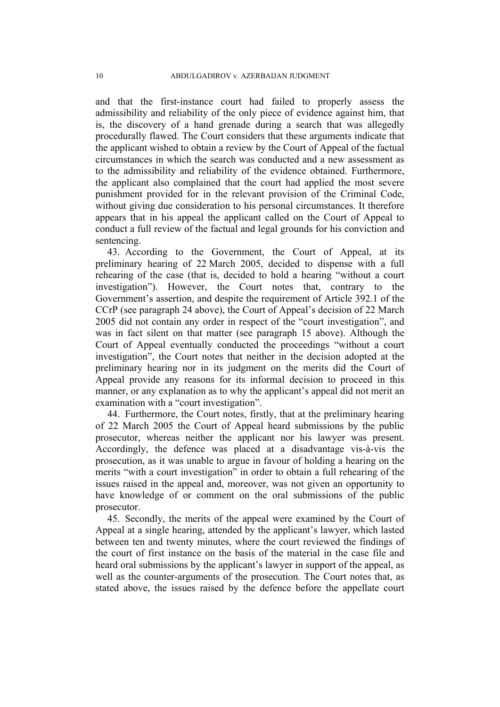and that the first-instance court had failed to properly assess the admissibility and reliability of the only piece of evidence against him, that is, the discovery of a hand grenade during a search that was allegedly procedurally flawed. The Court considers that these arguments indicate that the applicant wished to obtain a review by the Court of Appeal of the factual circumstances in which the search was conducted and a new assessment as to the admissibility and reliability of the evidence obtained. Furthermore, the applicant also complained that the court had applied the most severe punishment provided for in the relevant provision of the Criminal Code, without giving due consideration to his personal circumstances. It therefore appears that in his appeal the applicant called on the Court of Appeal to conduct a full review of the factual and legal grounds for his conviction and sentencing.

43. According to the Government, the Court of Appeal, at its preliminary hearing of 22 March 2005, decided to dispense with a full rehearing of the case (that is, decided to hold a hearing "without a court investigation"). However, the Court notes that, contrary to the Government's assertion, and despite the requirement of Article 392.1 of the CCrP (see paragraph 24 above), the Court of Appeal's decision of 22 March 2005 did not contain any order in respect of the "court investigation", and was in fact silent on that matter (see paragraph 15 above). Although the Court of Appeal eventually conducted the proceedings "without a court investigation", the Court notes that neither in the decision adopted at the preliminary hearing nor in its judgment on the merits did the Court of Appeal provide any reasons for its informal decision to proceed in this manner, or any explanation as to why the applicant's appeal did not merit an examination with a "court investigation".

44. Furthermore, the Court notes, firstly, that at the preliminary hearing of 22 March 2005 the Court of Appeal heard submissions by the public prosecutor, whereas neither the applicant nor his lawyer was present. Accordingly, the defence was placed at a disadvantage vis-à-vis the prosecution, as it was unable to argue in favour of holding a hearing on the merits "with a court investigation" in order to obtain a full rehearing of the issues raised in the appeal and, moreover, was not given an opportunity to have knowledge of or comment on the oral submissions of the public prosecutor.

45. Secondly, the merits of the appeal were examined by the Court of Appeal at a single hearing, attended by the applicant's lawyer, which lasted between ten and twenty minutes, where the court reviewed the findings of the court of first instance on the basis of the material in the case file and heard oral submissions by the applicant's lawyer in support of the appeal, as well as the counter-arguments of the prosecution. The Court notes that, as stated above, the issues raised by the defence before the appellate court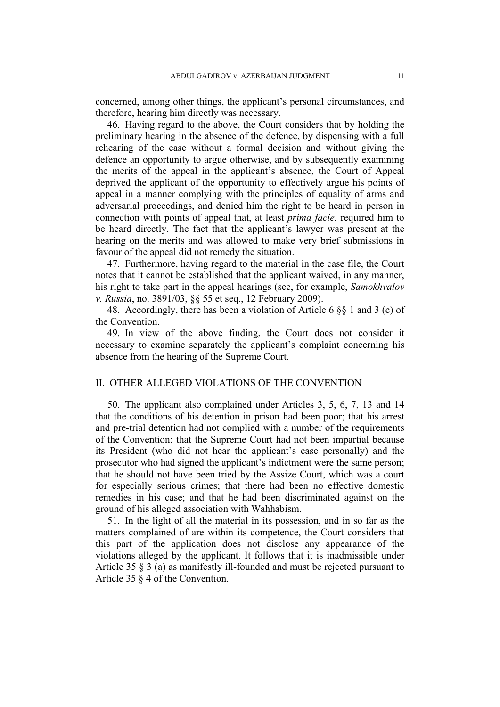concerned, among other things, the applicant's personal circumstances, and therefore, hearing him directly was necessary.

46. Having regard to the above, the Court considers that by holding the preliminary hearing in the absence of the defence, by dispensing with a full rehearing of the case without a formal decision and without giving the defence an opportunity to argue otherwise, and by subsequently examining the merits of the appeal in the applicant's absence, the Court of Appeal deprived the applicant of the opportunity to effectively argue his points of appeal in a manner complying with the principles of equality of arms and adversarial proceedings, and denied him the right to be heard in person in connection with points of appeal that, at least *prima facie*, required him to be heard directly. The fact that the applicant's lawyer was present at the hearing on the merits and was allowed to make very brief submissions in favour of the appeal did not remedy the situation.

47. Furthermore, having regard to the material in the case file, the Court notes that it cannot be established that the applicant waived, in any manner, his right to take part in the appeal hearings (see, for example, *Samokhvalov v. Russia*, no. 3891/03, §§ 55 et seq., 12 February 2009).

48. Accordingly, there has been a violation of Article 6 §§ 1 and 3 (c) of the Convention.

49. In view of the above finding, the Court does not consider it necessary to examine separately the applicant's complaint concerning his absence from the hearing of the Supreme Court.

# II. OTHER ALLEGED VIOLATIONS OF THE CONVENTION

50. The applicant also complained under Articles 3, 5, 6, 7, 13 and 14 that the conditions of his detention in prison had been poor; that his arrest and pre-trial detention had not complied with a number of the requirements of the Convention; that the Supreme Court had not been impartial because its President (who did not hear the applicant's case personally) and the prosecutor who had signed the applicant's indictment were the same person; that he should not have been tried by the Assize Court, which was a court for especially serious crimes; that there had been no effective domestic remedies in his case; and that he had been discriminated against on the ground of his alleged association with Wahhabism.

51. In the light of all the material in its possession, and in so far as the matters complained of are within its competence, the Court considers that this part of the application does not disclose any appearance of the violations alleged by the applicant. It follows that it is inadmissible under Article 35 § 3 (a) as manifestly ill-founded and must be rejected pursuant to Article 35 § 4 of the Convention.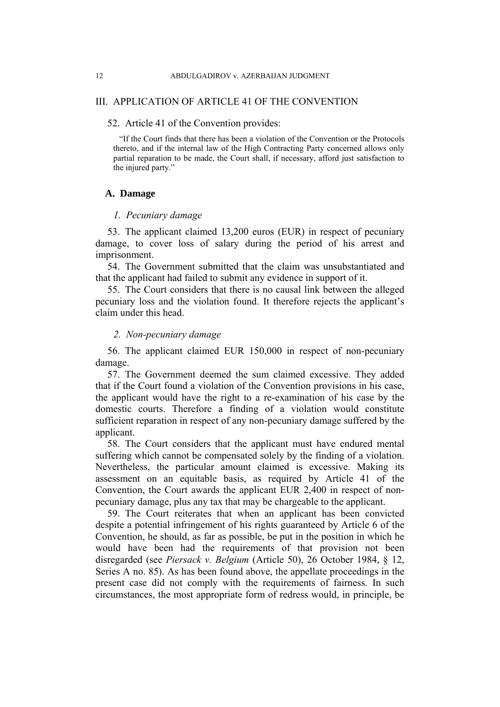# III. APPLICATION OF ARTICLE 41 OF THE CONVENTION

#### 52. Article 41 of the Convention provides:

"If the Court finds that there has been a violation of the Convention or the Protocols thereto, and if the internal law of the High Contracting Party concerned allows only partial reparation to be made, the Court shall, if necessary, afford just satisfaction to the injured party."

#### **A. Damage**

#### *1. Pecuniary damage*

53. The applicant claimed 13,200 euros (EUR) in respect of pecuniary damage, to cover loss of salary during the period of his arrest and imprisonment.

54. The Government submitted that the claim was unsubstantiated and that the applicant had failed to submit any evidence in support of it.

55. The Court considers that there is no causal link between the alleged pecuniary loss and the violation found. It therefore rejects the applicant's claim under this head.

#### *2. Non-pecuniary damage*

56. The applicant claimed EUR 150,000 in respect of non-pecuniary damage.

57. The Government deemed the sum claimed excessive. They added that if the Court found a violation of the Convention provisions in his case, the applicant would have the right to a re-examination of his case by the domestic courts. Therefore a finding of a violation would constitute sufficient reparation in respect of any non-pecuniary damage suffered by the applicant.

58. The Court considers that the applicant must have endured mental suffering which cannot be compensated solely by the finding of a violation. Nevertheless, the particular amount claimed is excessive. Making its assessment on an equitable basis, as required by Article 41 of the Convention, the Court awards the applicant EUR 2,400 in respect of nonpecuniary damage, plus any tax that may be chargeable to the applicant.

59. The Court reiterates that when an applicant has been convicted despite a potential infringement of his rights guaranteed by Article 6 of the Convention, he should, as far as possible, be put in the position in which he would have been had the requirements of that provision not been disregarded (see *Piersack v. Belgium* (Article 50), 26 October 1984, § 12, Series A no. 85). As has been found above, the appellate proceedings in the present case did not comply with the requirements of fairness. In such circumstances, the most appropriate form of redress would, in principle, be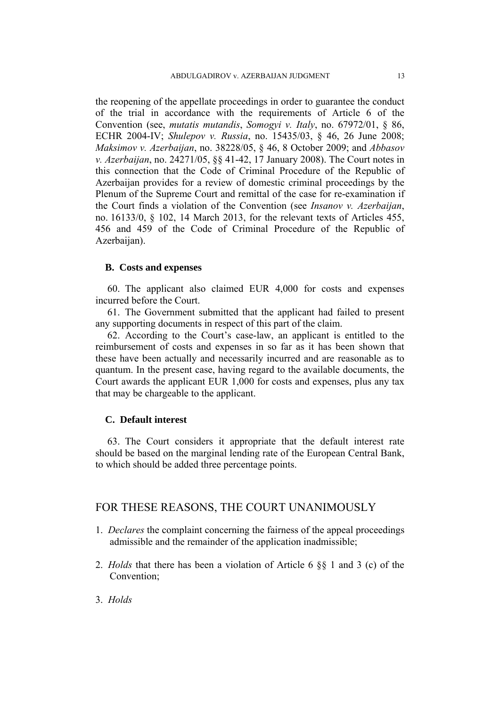the reopening of the appellate proceedings in order to guarantee the conduct of the trial in accordance with the requirements of Article 6 of the Convention (see, *mutatis mutandis*, *Somogyi v. Italy*, no. 67972/01, § 86, ECHR 2004-IV; *Shulepov v. Russia*, no. 15435/03, § 46, 26 June 2008; *Maksimov v. Azerbaijan*, no. 38228/05, § 46, 8 October 2009; and *Abbasov v. Azerbaijan*, no. 24271/05, §§ 41-42, 17 January 2008). The Court notes in this connection that the Code of Criminal Procedure of the Republic of Azerbaijan provides for a review of domestic criminal proceedings by the Plenum of the Supreme Court and remittal of the case for re-examination if the Court finds a violation of the Convention (see *Insanov v. Azerbaijan*, no. 16133/0, § 102, 14 March 2013, for the relevant texts of Articles 455, 456 and 459 of the Code of Criminal Procedure of the Republic of Azerbaijan).

#### **B. Costs and expenses**

60. The applicant also claimed EUR 4,000 for costs and expenses incurred before the Court.

61. The Government submitted that the applicant had failed to present any supporting documents in respect of this part of the claim.

62. According to the Court's case-law, an applicant is entitled to the reimbursement of costs and expenses in so far as it has been shown that these have been actually and necessarily incurred and are reasonable as to quantum. In the present case, having regard to the available documents, the Court awards the applicant EUR 1,000 for costs and expenses, plus any tax that may be chargeable to the applicant.

# **C. Default interest**

63. The Court considers it appropriate that the default interest rate should be based on the marginal lending rate of the European Central Bank, to which should be added three percentage points.

# FOR THESE REASONS, THE COURT UNANIMOUSLY

- 1. *Declares* the complaint concerning the fairness of the appeal proceedings admissible and the remainder of the application inadmissible;
- 2. *Holds* that there has been a violation of Article 6 §§ 1 and 3 (c) of the Convention;
- 3. *Holds*